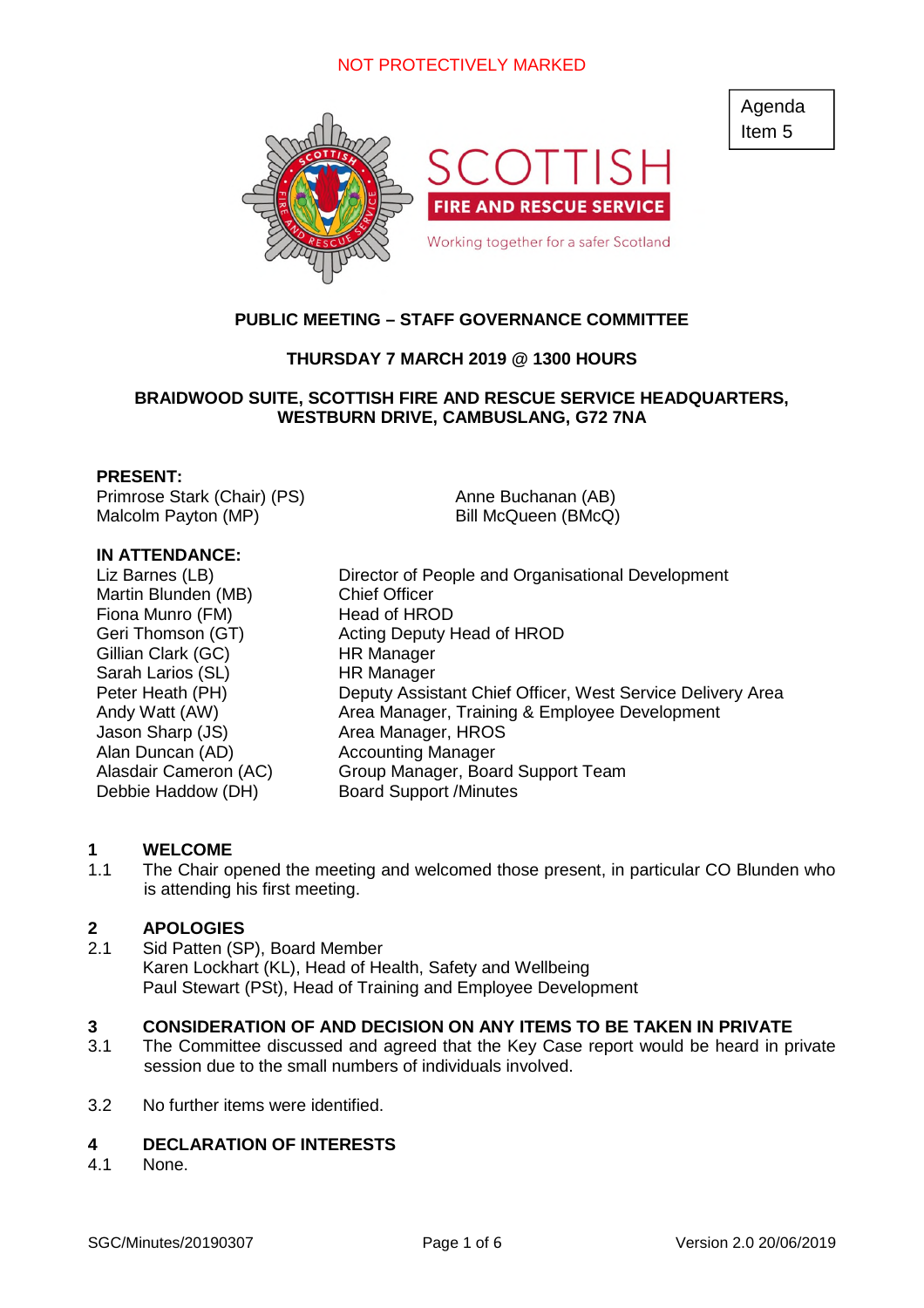

# **PUBLIC MEETING – STAFF GOVERNANCE COMMITTEE**

# **THURSDAY 7 MARCH 2019 @ 1300 HOURS**

# **BRAIDWOOD SUITE, SCOTTISH FIRE AND RESCUE SERVICE HEADQUARTERS, WESTBURN DRIVE, CAMBUSLANG, G72 7NA**

#### **PRESENT:**

Primrose Stark (Chair) (PS) Malcolm Payton (MP)

## **IN ATTENDANCE:**

Martin Blunden (MB) Chief Officer<br>
Fiona Munro (FM) Fiona Head of HROD Fiona Munro (FM) Gillian Clark (GC) HR Manager Sarah Larios (SL) HR Manager Jason Sharp (JS) Area Manager, HROS Alan Duncan (AD) **Accounting Manager** Debbie Haddow (DH) Board Support /Minutes

Liz Barnes (LB) Director of People and Organisational Development Geri Thomson (GT) Acting Deputy Head of HROD Peter Heath (PH) Deputy Assistant Chief Officer, West Service Delivery Area Andy Watt (AW) Area Manager, Training & Employee Development Alasdair Cameron (AC) Group Manager, Board Support Team

Anne Buchanan (AB) Bill McQueen (BMcQ)

#### **1 WELCOME**

1.1 The Chair opened the meeting and welcomed those present, in particular CO Blunden who is attending his first meeting.

## **2 APOLOGIES**

2.1 Sid Patten (SP), Board Member Karen Lockhart (KL), Head of Health, Safety and Wellbeing Paul Stewart (PSt), Head of Training and Employee Development

# **3 CONSIDERATION OF AND DECISION ON ANY ITEMS TO BE TAKEN IN PRIVATE**

- 3.1 The Committee discussed and agreed that the Key Case report would be heard in private session due to the small numbers of individuals involved.
- 3.2 No further items were identified.

## **4 DECLARATION OF INTERESTS**

4.1 None.

Agenda Item 5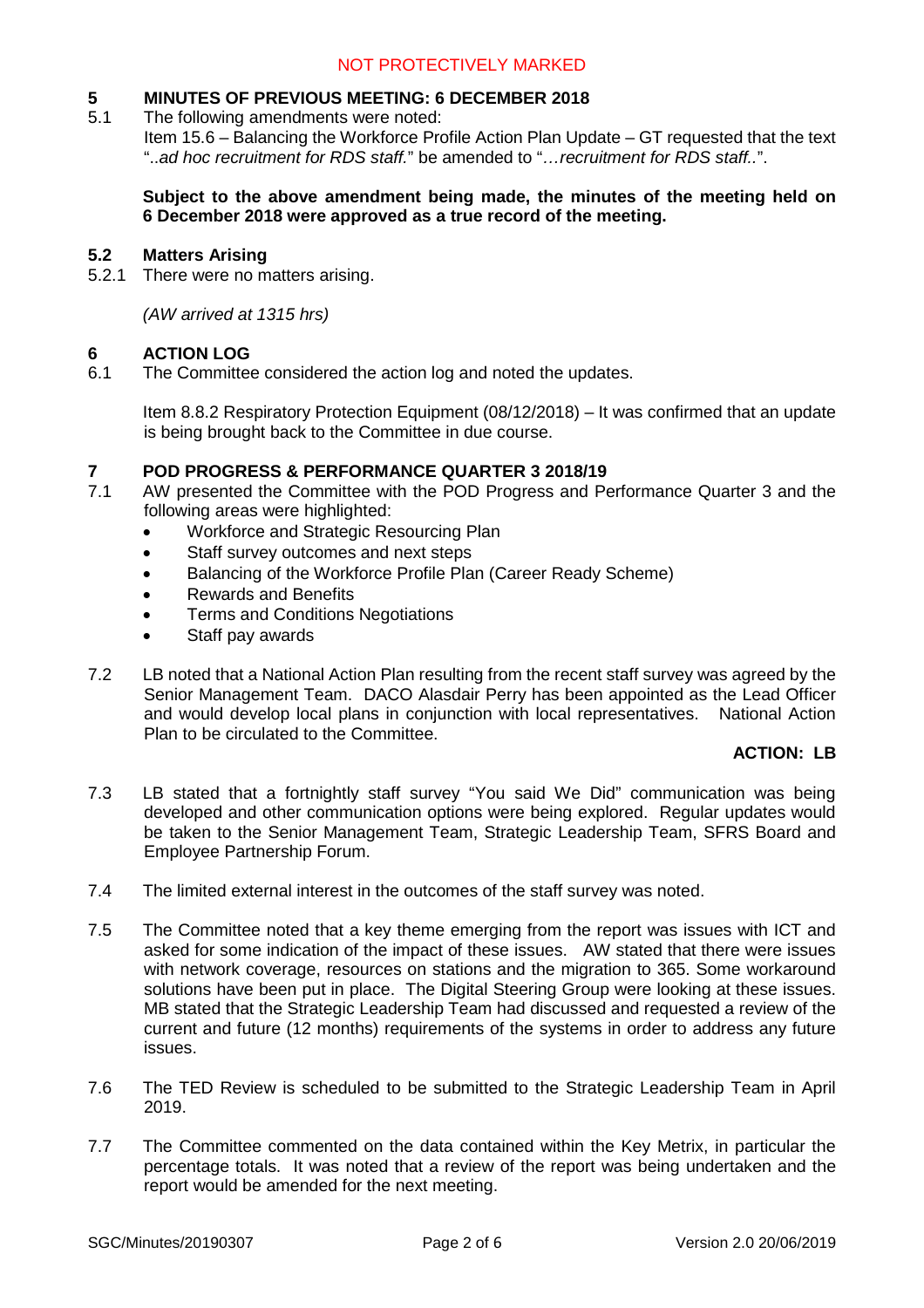# **5 MINUTES OF PREVIOUS MEETING: 6 DECEMBER 2018**<br>5.1 The following amendments were noted:

The following amendments were noted:

Item 15.6 – Balancing the Workforce Profile Action Plan Update – GT requested that the text "..*ad hoc recruitment for RDS staff.*" be amended to "*…recruitment for RDS staff..*".

## **Subject to the above amendment being made, the minutes of the meeting held on 6 December 2018 were approved as a true record of the meeting.**

## **5.2 Matters Arising**

5.2.1 There were no matters arising.

*(AW arrived at 1315 hrs)*

## **6 ACTION LOG**

6.1 The Committee considered the action log and noted the updates.

Item 8.8.2 Respiratory Protection Equipment (08/12/2018) – It was confirmed that an update is being brought back to the Committee in due course.

# **7 POD PROGRESS & PERFORMANCE QUARTER 3 2018/19**

- 7.1 AW presented the Committee with the POD Progress and Performance Quarter 3 and the following areas were highlighted:
	- Workforce and Strategic Resourcing Plan
	- Staff survey outcomes and next steps
	- Balancing of the Workforce Profile Plan (Career Ready Scheme)
	- Rewards and Benefits
	- Terms and Conditions Negotiations
	- Staff pay awards
- 7.2 LB noted that a National Action Plan resulting from the recent staff survey was agreed by the Senior Management Team. DACO Alasdair Perry has been appointed as the Lead Officer and would develop local plans in conjunction with local representatives. National Action Plan to be circulated to the Committee.

# **ACTION: LB**

- 7.3 LB stated that a fortnightly staff survey "You said We Did" communication was being developed and other communication options were being explored. Regular updates would be taken to the Senior Management Team, Strategic Leadership Team, SFRS Board and Employee Partnership Forum.
- 7.4 The limited external interest in the outcomes of the staff survey was noted.
- 7.5 The Committee noted that a key theme emerging from the report was issues with ICT and asked for some indication of the impact of these issues. AW stated that there were issues with network coverage, resources on stations and the migration to 365. Some workaround solutions have been put in place. The Digital Steering Group were looking at these issues. MB stated that the Strategic Leadership Team had discussed and requested a review of the current and future (12 months) requirements of the systems in order to address any future issues.
- 7.6 The TED Review is scheduled to be submitted to the Strategic Leadership Team in April 2019.
- 7.7 The Committee commented on the data contained within the Key Metrix, in particular the percentage totals. It was noted that a review of the report was being undertaken and the report would be amended for the next meeting.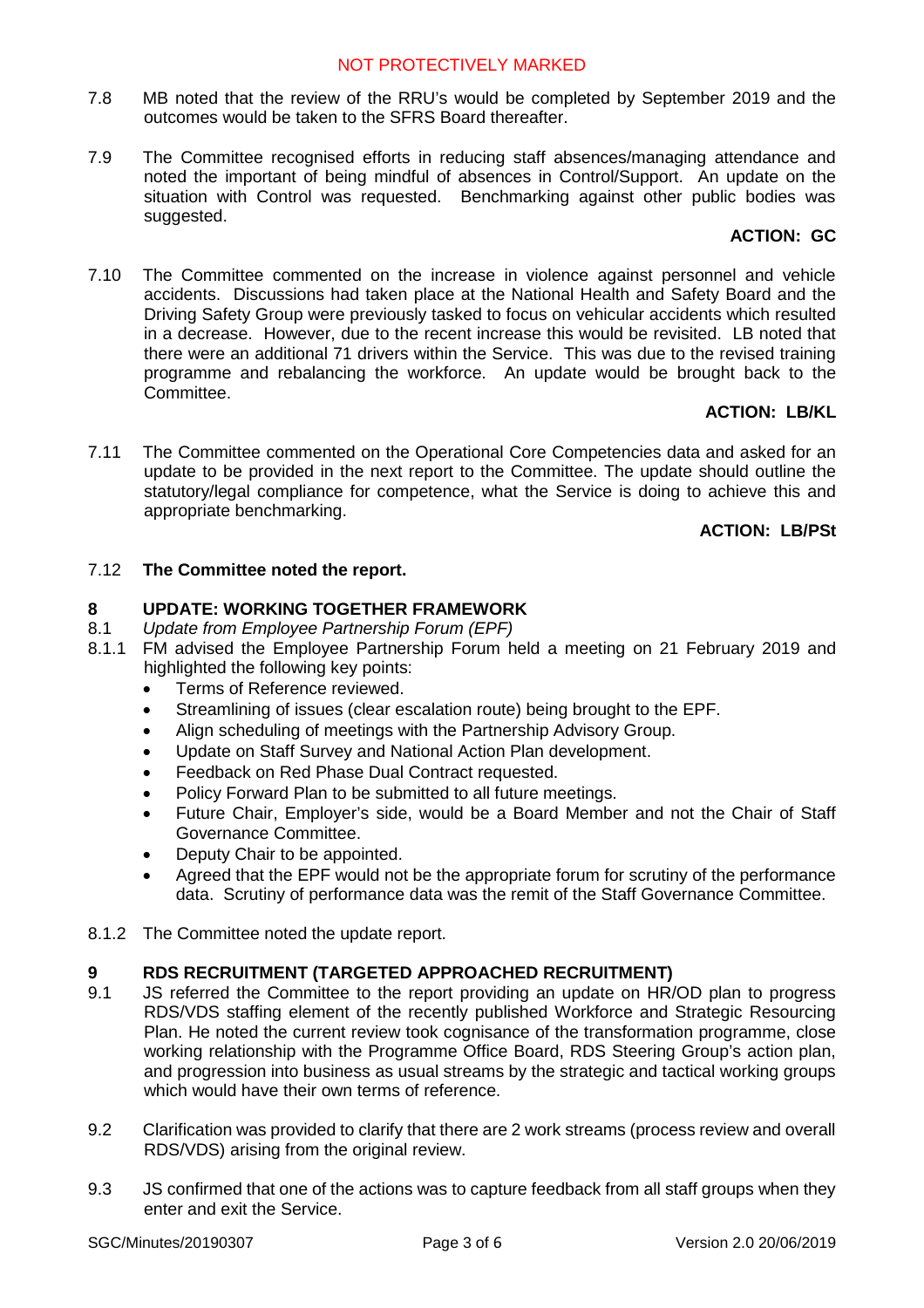- 7.8 MB noted that the review of the RRU's would be completed by September 2019 and the outcomes would be taken to the SFRS Board thereafter.
- 7.9 The Committee recognised efforts in reducing staff absences/managing attendance and noted the important of being mindful of absences in Control/Support. An update on the situation with Control was requested. Benchmarking against other public bodies was suggested.

# **ACTION: GC**

7.10 The Committee commented on the increase in violence against personnel and vehicle accidents. Discussions had taken place at the National Health and Safety Board and the Driving Safety Group were previously tasked to focus on vehicular accidents which resulted in a decrease. However, due to the recent increase this would be revisited. LB noted that there were an additional 71 drivers within the Service. This was due to the revised training programme and rebalancing the workforce. An update would be brought back to the Committee.

# **ACTION: LB/KL**

7.11 The Committee commented on the Operational Core Competencies data and asked for an update to be provided in the next report to the Committee. The update should outline the statutory/legal compliance for competence, what the Service is doing to achieve this and appropriate benchmarking.

# **ACTION: LB/PSt**

# 7.12 **The Committee noted the report.**

# **8 UPDATE: WORKING TOGETHER FRAMEWORK**

- 8.1 *Update from Employee Partnership Forum (EPF)*
- 8.1.1 FM advised the Employee Partnership Forum held a meeting on 21 February 2019 and highlighted the following key points:
	- Terms of Reference reviewed.
	- Streamlining of issues (clear escalation route) being brought to the EPF.
	- Align scheduling of meetings with the Partnership Advisory Group.
	- Update on Staff Survey and National Action Plan development.
	- Feedback on Red Phase Dual Contract requested.
	- Policy Forward Plan to be submitted to all future meetings.
	- Future Chair, Employer's side, would be a Board Member and not the Chair of Staff Governance Committee.
	- Deputy Chair to be appointed.
	- Agreed that the EPF would not be the appropriate forum for scrutiny of the performance data. Scrutiny of performance data was the remit of the Staff Governance Committee.
- 8.1.2 The Committee noted the update report.

# **9 RDS RECRUITMENT (TARGETED APPROACHED RECRUITMENT)**

- 9.1 JS referred the Committee to the report providing an update on HR/OD plan to progress RDS/VDS staffing element of the recently published Workforce and Strategic Resourcing Plan. He noted the current review took cognisance of the transformation programme, close working relationship with the Programme Office Board, RDS Steering Group's action plan, and progression into business as usual streams by the strategic and tactical working groups which would have their own terms of reference.
- 9.2 Clarification was provided to clarify that there are 2 work streams (process review and overall RDS/VDS) arising from the original review.
- 9.3 JS confirmed that one of the actions was to capture feedback from all staff groups when they enter and exit the Service.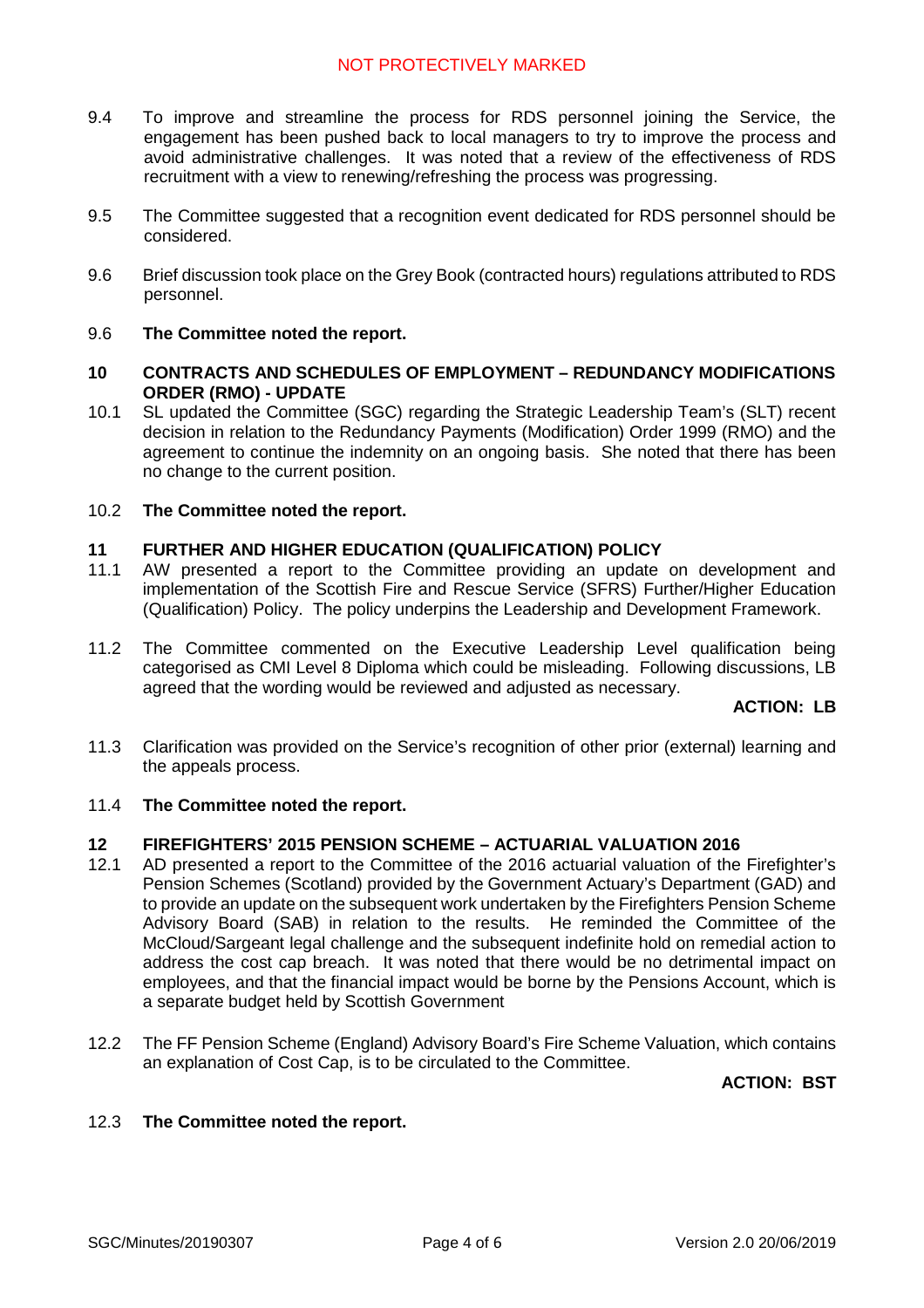- 9.4 To improve and streamline the process for RDS personnel joining the Service, the engagement has been pushed back to local managers to try to improve the process and avoid administrative challenges. It was noted that a review of the effectiveness of RDS recruitment with a view to renewing/refreshing the process was progressing.
- 9.5 The Committee suggested that a recognition event dedicated for RDS personnel should be considered.
- 9.6 Brief discussion took place on the Grey Book (contracted hours) regulations attributed to RDS personnel.

## 9.6 **The Committee noted the report.**

#### **10 CONTRACTS AND SCHEDULES OF EMPLOYMENT – REDUNDANCY MODIFICATIONS ORDER (RMO) - UPDATE**

10.1 SL updated the Committee (SGC) regarding the Strategic Leadership Team's (SLT) recent decision in relation to the Redundancy Payments (Modification) Order 1999 (RMO) and the agreement to continue the indemnity on an ongoing basis. She noted that there has been no change to the current position.

#### 10.2 **The Committee noted the report.**

## **11 FURTHER AND HIGHER EDUCATION (QUALIFICATION) POLICY**

- 11.1 AW presented a report to the Committee providing an update on development and implementation of the Scottish Fire and Rescue Service (SFRS) Further/Higher Education (Qualification) Policy. The policy underpins the Leadership and Development Framework.
- 11.2 The Committee commented on the Executive Leadership Level qualification being categorised as CMI Level 8 Diploma which could be misleading. Following discussions, LB agreed that the wording would be reviewed and adjusted as necessary.

# **ACTION: LB**

11.3 Clarification was provided on the Service's recognition of other prior (external) learning and the appeals process.

#### 11.4 **The Committee noted the report.**

### **12 FIREFIGHTERS' 2015 PENSION SCHEME – ACTUARIAL VALUATION 2016**

- 12.1 AD presented a report to the Committee of the 2016 actuarial valuation of the Firefighter's Pension Schemes (Scotland) provided by the Government Actuary's Department (GAD) and to provide an update on the subsequent work undertaken by the Firefighters Pension Scheme Advisory Board (SAB) in relation to the results. He reminded the Committee of the McCloud/Sargeant legal challenge and the subsequent indefinite hold on remedial action to address the cost cap breach. It was noted that there would be no detrimental impact on employees, and that the financial impact would be borne by the Pensions Account, which is a separate budget held by Scottish Government
- 12.2 The FF Pension Scheme (England) Advisory Board's Fire Scheme Valuation, which contains an explanation of Cost Cap, is to be circulated to the Committee.

#### **ACTION: BST**

## 12.3 **The Committee noted the report.**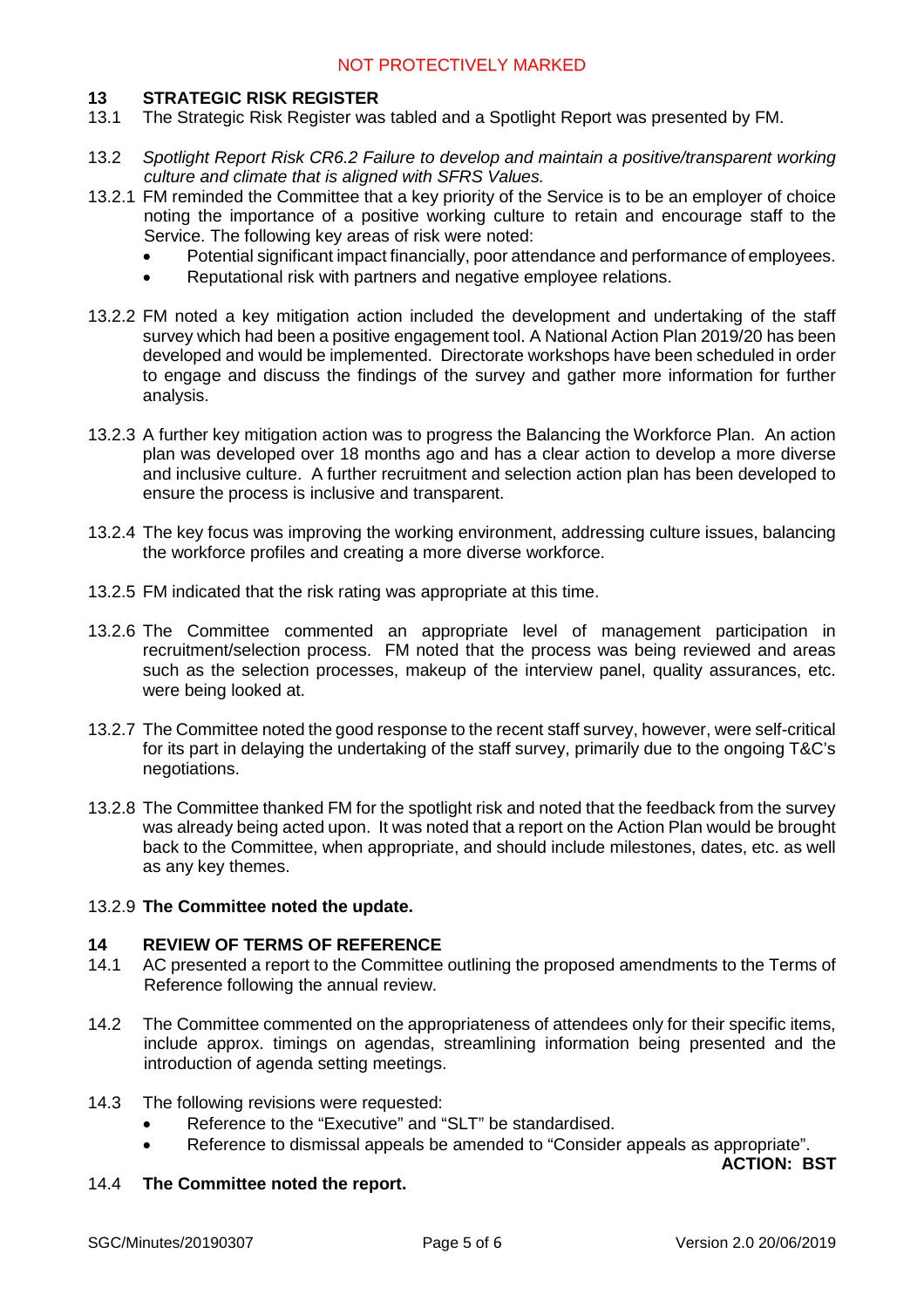## **13 STRATEGIC RISK REGISTER**

- 13.1 The Strategic Risk Register was tabled and a Spotlight Report was presented by FM.
- 13.2 *Spotlight Report Risk CR6.2 Failure to develop and maintain a positive/transparent working culture and climate that is aligned with SFRS Values.*
- 13.2.1 FM reminded the Committee that a key priority of the Service is to be an employer of choice noting the importance of a positive working culture to retain and encourage staff to the Service. The following key areas of risk were noted:
	- Potential significant impact financially, poor attendance and performance of employees.
	- Reputational risk with partners and negative employee relations.
- 13.2.2 FM noted a key mitigation action included the development and undertaking of the staff survey which had been a positive engagement tool. A National Action Plan 2019/20 has been developed and would be implemented. Directorate workshops have been scheduled in order to engage and discuss the findings of the survey and gather more information for further analysis.
- 13.2.3 A further key mitigation action was to progress the Balancing the Workforce Plan. An action plan was developed over 18 months ago and has a clear action to develop a more diverse and inclusive culture. A further recruitment and selection action plan has been developed to ensure the process is inclusive and transparent.
- 13.2.4 The key focus was improving the working environment, addressing culture issues, balancing the workforce profiles and creating a more diverse workforce.
- 13.2.5 FM indicated that the risk rating was appropriate at this time.
- 13.2.6 The Committee commented an appropriate level of management participation in recruitment/selection process. FM noted that the process was being reviewed and areas such as the selection processes, makeup of the interview panel, quality assurances, etc. were being looked at.
- 13.2.7 The Committee noted the good response to the recent staff survey, however, were self-critical for its part in delaying the undertaking of the staff survey, primarily due to the ongoing T&C's negotiations.
- 13.2.8 The Committee thanked FM for the spotlight risk and noted that the feedback from the survey was already being acted upon. It was noted that a report on the Action Plan would be brought back to the Committee, when appropriate, and should include milestones, dates, etc. as well as any key themes.

#### 13.2.9 **The Committee noted the update.**

## **14 REVIEW OF TERMS OF REFERENCE**

- 14.1 AC presented a report to the Committee outlining the proposed amendments to the Terms of Reference following the annual review.
- 14.2 The Committee commented on the appropriateness of attendees only for their specific items, include approx. timings on agendas, streamlining information being presented and the introduction of agenda setting meetings.
- 14.3 The following revisions were requested:
	- Reference to the "Executive" and "SLT" be standardised.
	- Reference to dismissal appeals be amended to "Consider appeals as appropriate".

**ACTION: BST**

## 14.4 **The Committee noted the report.**